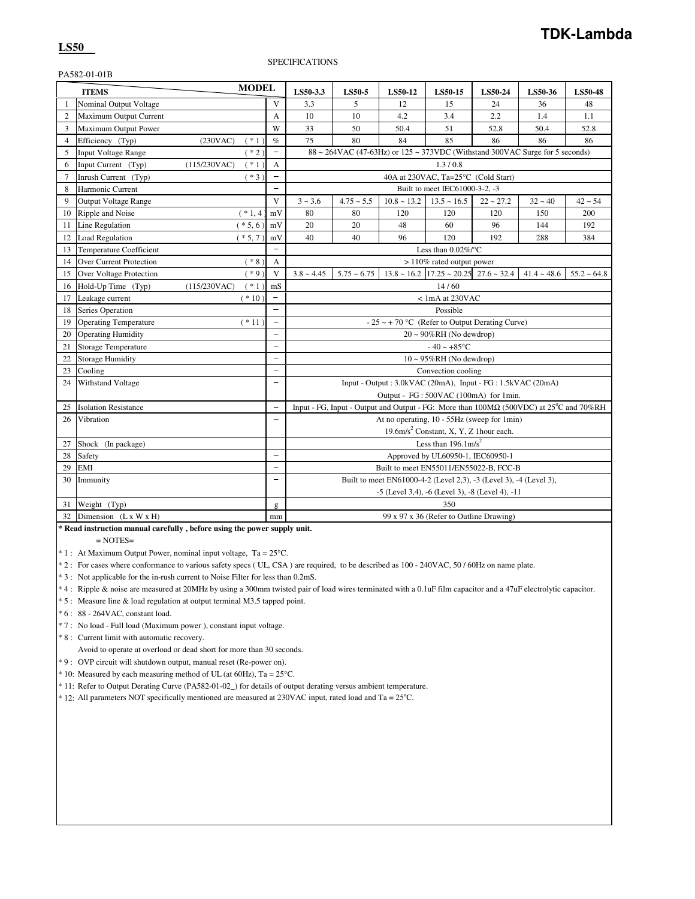## PA582-01-01B

| <b>MODEL</b><br><b>ITEMS</b> |                                   |                         | LS50-3.3                 | <b>LS50-5</b>                                                                                          | <b>LS50-12</b>                                                                         | <b>LS50-15</b>                                                     | <b>LS50-24</b>                                       | LS50-36     | <b>LS50-48</b> |                  |
|------------------------------|-----------------------------------|-------------------------|--------------------------|--------------------------------------------------------------------------------------------------------|----------------------------------------------------------------------------------------|--------------------------------------------------------------------|------------------------------------------------------|-------------|----------------|------------------|
| 1                            | Nominal Output Voltage            |                         | V                        | 3.3                                                                                                    | 5                                                                                      | 12                                                                 | 15                                                   | 24          | 36             | 48               |
| $\overline{2}$               | Maximum Output Current            |                         | $\overline{A}$           | 10                                                                                                     | 10                                                                                     | 4.2                                                                | 3.4                                                  | 2.2         | 1.4            | 1.1              |
| 3                            | Maximum Output Power              |                         | W                        | 33                                                                                                     | 50                                                                                     | 50.4                                                               | 51                                                   | 52.8        | 50.4           | 52.8             |
| $\overline{4}$               | Efficiency (Typ)                  | (230VAC)<br>$(* 1)$     | $\%$                     | 75                                                                                                     | 80                                                                                     | 84                                                                 | 85                                                   | 86          | 86             | 86               |
| 5                            | <b>Input Voltage Range</b>        | $(* 2)$                 | $\overline{a}$           | $88 \sim 264 \text{VAC}$ (47-63Hz) or $125 \sim 373 \text{VDC}$ (Withstand 300VAC Surge for 5 seconds) |                                                                                        |                                                                    |                                                      |             |                |                  |
| 6                            | Input Current (Typ)               | $(* 1)$<br>(115/230VAC) | A                        |                                                                                                        |                                                                                        |                                                                    | 1.3/0.8                                              |             |                |                  |
| $\overline{7}$               | Inrush Current (Typ)              | $(*3)$                  | $\overline{\phantom{0}}$ | 40A at 230VAC, Ta=25°C (Cold Start)                                                                    |                                                                                        |                                                                    |                                                      |             |                |                  |
| 8                            | Harmonic Current                  |                         | $\equiv$                 |                                                                                                        |                                                                                        |                                                                    | Built to meet IEC61000-3-2, -3                       |             |                |                  |
| 9                            | <b>Output Voltage Range</b>       |                         | V                        | $3 - 3.6$                                                                                              | $4.75 - 5.5$                                                                           | $10.8 \sim 13.2$                                                   | $13.5 \sim 16.5$                                     | $22 - 27.2$ | $32 - 40$      | $42 - 54$        |
| 10                           | Ripple and Noise                  | $(* 1, 4)$              | mV                       | 80                                                                                                     | 80                                                                                     | 120                                                                | 120                                                  | 120         | 150            | 200              |
| 11                           | Line Regulation                   | $(* 5, 6)$              | mV                       | 20                                                                                                     | 20                                                                                     | 48                                                                 | 60                                                   | 96          | 144            | 192              |
| 12                           | <b>Load Regulation</b>            | $(* 5, 7)$              | mV                       | 40                                                                                                     | 40                                                                                     | 96                                                                 | 120                                                  | 192         | 288            | 384              |
| 13                           | <b>Temperature Coefficient</b>    |                         |                          |                                                                                                        |                                                                                        |                                                                    | Less than $0.02\%$ /°C                               |             |                |                  |
| 14                           | <b>Over Current Protection</b>    | $(* 8)$                 | $\overline{A}$           |                                                                                                        |                                                                                        |                                                                    | > 110% rated output power                            |             |                |                  |
| 15                           | Over Voltage Protection           | $(*9)$                  | V                        | $3.8 - 4.45$                                                                                           | $5.75 - 6.75$                                                                          |                                                                    | $13.8 \sim 16.2$ $17.25 \sim 20.25$ $27.6 \sim 32.4$ |             | $41.4 - 48.6$  | $55.2 \div 64.8$ |
| 16                           | Hold-Up Time (Typ)                | $(* 1)$<br>(115/230VAC) | mS                       |                                                                                                        |                                                                                        |                                                                    | 14/60                                                |             |                |                  |
| 17                           | Leakage current                   | $(* 10)$                |                          |                                                                                                        |                                                                                        |                                                                    | <1mA at 230VAC                                       |             |                |                  |
| 18                           | Series Operation                  |                         |                          |                                                                                                        |                                                                                        |                                                                    | Possible                                             |             |                |                  |
| 19                           | <b>Operating Temperature</b>      | $(* 11)$                | $\overline{\phantom{0}}$ |                                                                                                        |                                                                                        | $-25 \sim +70$ °C (Refer to Output Derating Curve)                 |                                                      |             |                |                  |
| 20                           | <b>Operating Humidity</b>         |                         |                          |                                                                                                        |                                                                                        |                                                                    | $20 \sim 90\% RH$ (No dewdrop)                       |             |                |                  |
| 21                           | <b>Storage Temperature</b>        |                         | $\overline{\phantom{0}}$ |                                                                                                        |                                                                                        |                                                                    | $-40 - +85$ °C                                       |             |                |                  |
| 22                           | <b>Storage Humidity</b>           |                         | $\overline{\phantom{0}}$ |                                                                                                        |                                                                                        |                                                                    | $10 \sim 95\% RH$ (No dewdrop)                       |             |                |                  |
| 23                           | Cooling                           |                         | $\overline{\phantom{a}}$ |                                                                                                        |                                                                                        |                                                                    | Convection cooling                                   |             |                |                  |
| 24                           | Withstand Voltage                 |                         | $\overline{\phantom{0}}$ |                                                                                                        |                                                                                        | Input - Output : 3.0kVAC (20mA), Input - FG : 1.5kVAC (20mA)       |                                                      |             |                |                  |
|                              |                                   |                         |                          |                                                                                                        |                                                                                        | Output - FG: 500VAC (100mA) for 1min.                              |                                                      |             |                |                  |
| 25                           | <b>Isolation Resistance</b>       |                         | $\overline{\phantom{a}}$ |                                                                                                        | Input - FG, Input - Output and Output - FG: More than 100MΩ (500VDC) at 25°C and 70%RH |                                                                    |                                                      |             |                |                  |
| 26                           | Vibration                         |                         | $\overline{\phantom{0}}$ |                                                                                                        |                                                                                        | At no operating, 10 - 55Hz (sweep for 1min)                        |                                                      |             |                |                  |
|                              |                                   |                         |                          |                                                                                                        |                                                                                        |                                                                    | 19.6m/s <sup>2</sup> Constant, X, Y, Z 1hour each.   |             |                |                  |
| 27                           | Shock (In package)                |                         |                          |                                                                                                        |                                                                                        |                                                                    | Less than $196.1 \text{m/s}^2$                       |             |                |                  |
| 28                           | Safety                            |                         | $\overline{\phantom{0}}$ |                                                                                                        |                                                                                        |                                                                    | Approved by UL60950-1, IEC60950-1                    |             |                |                  |
| 29                           | <b>EMI</b>                        |                         | $\overline{\phantom{m}}$ |                                                                                                        |                                                                                        | Built to meet EN55011/EN55022-B, FCC-B                             |                                                      |             |                |                  |
| 30                           | Immunity                          |                         | $\overline{\phantom{0}}$ |                                                                                                        |                                                                                        | Built to meet EN61000-4-2 (Level 2,3), -3 (Level 3), -4 (Level 3), |                                                      |             |                |                  |
|                              |                                   |                         |                          |                                                                                                        |                                                                                        | -5 (Level 3,4), -6 (Level 3), -8 (Level 4), -11                    |                                                      |             |                |                  |
| 31                           | Weight (Typ)                      |                         | g                        |                                                                                                        |                                                                                        |                                                                    | 350                                                  |             |                |                  |
| 32                           | Dimension $(L \times W \times H)$ |                         | mm                       |                                                                                                        |                                                                                        |                                                                    | 99 x 97 x 36 (Refer to Outline Drawing)              |             |                |                  |

**\* Read instruction manual carefully , before using the power supply unit.**

 $=$  NOTES $=$ 

\* 1 : At Maximum Output Power, nominal input voltage, Ta = 25°C.

\* 2 : For cases where conformance to various safety specs ( UL, CSA ) are required, to be described as 100 - 240VAC, 50 / 60Hz on name plate.

\* 3 : Not applicable for the in-rush current to Noise Filter for less than 0.2mS.

\* 4 : Ripple & noise are measured at 20MHz by using a 300mm twisted pair of load wires terminated with a 0.1uF film capacitor and a 47uF electrolytic capacitor.

\* 5 : Measure line & load regulation at output terminal M3.5 tapped point.

\* 6 : 88 - 264VAC, constant load.

\* 7 : No load - Full load (Maximum power ), constant input voltage.

\* 8 : Current limit with automatic recovery.

Avoid to operate at overload or dead short for more than 30 seconds.

\* 9 : OVP circuit will shutdown output, manual reset (Re-power on).

 $*$  10: Measured by each measuring method of UL (at 60Hz), Ta = 25 °C.

\* 11: Refer to Output Derating Curve (PA582-01-02\_) for details of output derating versus ambient temperature.

 $*$  12: All parameters NOT specifically mentioned are measured at 230VAC input, rated load and Ta =  $25^{\circ}$ C.